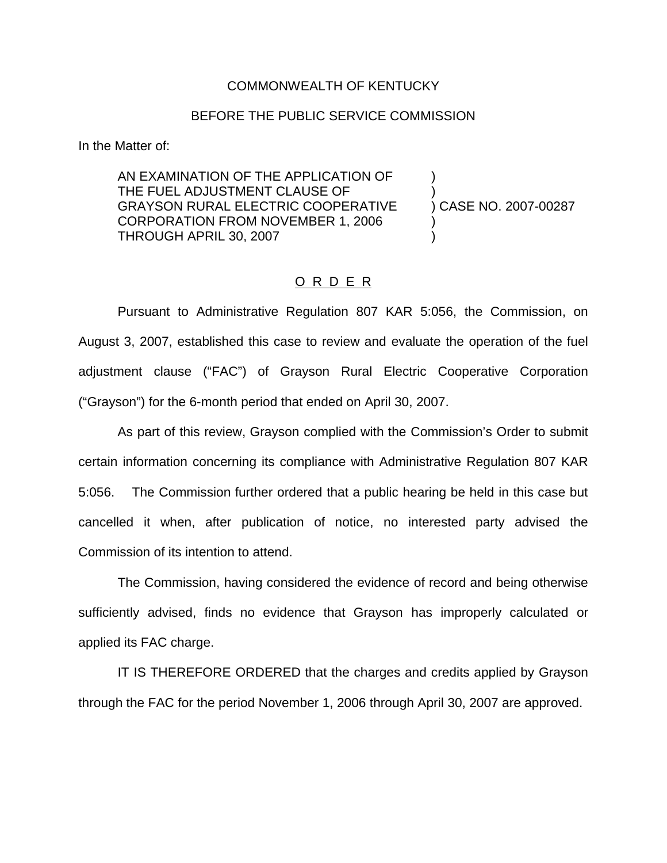## COMMONWEALTH OF KENTUCKY

## BEFORE THE PUBLIC SERVICE COMMISSION

In the Matter of:

AN EXAMINATION OF THE APPLICATION OF ) THE FUEL ADJUSTMENT CLAUSE OF GRAYSON RURAL ELECTRIC COOPERATIVE ) CASE NO. 2007-00287 CORPORATION FROM NOVEMBER 1, 2006 ) THROUGH APRIL 30, 2007 )

## O R D E R

Pursuant to Administrative Regulation 807 KAR 5:056, the Commission, on August 3, 2007, established this case to review and evaluate the operation of the fuel adjustment clause ("FAC") of Grayson Rural Electric Cooperative Corporation ("Grayson") for the 6-month period that ended on April 30, 2007.

As part of this review, Grayson complied with the Commission's Order to submit certain information concerning its compliance with Administrative Regulation 807 KAR 5:056. The Commission further ordered that a public hearing be held in this case but cancelled it when, after publication of notice, no interested party advised the Commission of its intention to attend.

The Commission, having considered the evidence of record and being otherwise sufficiently advised, finds no evidence that Grayson has improperly calculated or applied its FAC charge.

IT IS THEREFORE ORDERED that the charges and credits applied by Grayson through the FAC for the period November 1, 2006 through April 30, 2007 are approved.